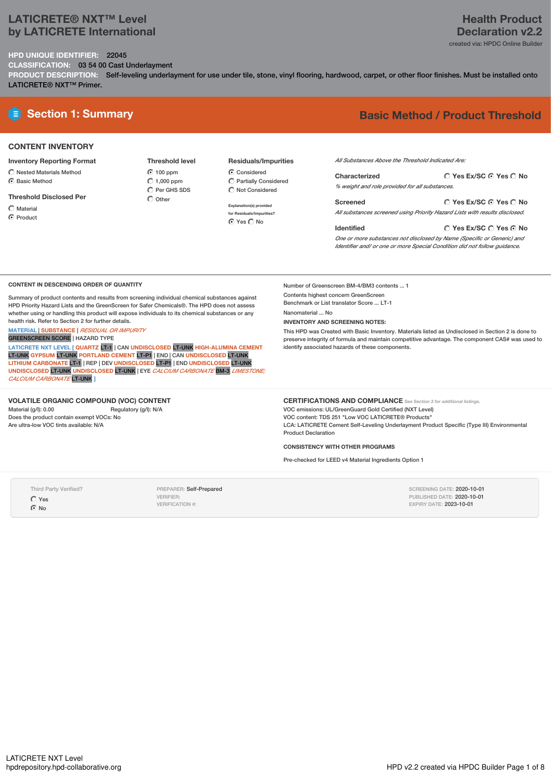## **LATICRETE® NXT™ Level by LATICRETE International**

# **Health Product Declaration v2.2**

created via: HPDC Online Builder

**Yes Ex/SC Yes No**

**HPD UNIQUE IDENTIFIER:** 22045 **CLASSIFICATION:** 03 54 00 Cast Underlayment

**PRODUCT DESCRIPTION:** Self-leveling underlayment for use under tile, stone, vinyl flooring, hardwood, carpet, or other floor finishes. Must be installed onto LATICRETE® NXT™ Primer.

# **E** Section 1: Summary **Basic Method / Product Threshold**

### **CONTENT INVENTORY**

#### **Inventory Reporting Format**

- $\bigcirc$  Nested Materials Method
- C Basic Method

#### **Threshold Disclosed Per**

- Material
- **C** Product

#### **Threshold level 6** 100 ppm  $\bigcirc$  1,000 ppm  $\overline{O}$  Per GHS SDS  $\bigcap$  Other

## **Residuals/Impurities**

C Considered Partially Considered  $\bigcirc$  Not Considered

**Explanation(s) provided for Residuals/Impurities?** O Yes O No

*All Substances Above the Threshold Indicated Are:*

| Characterized                                  | ◯ Yes Ex/SC ⊙ Yes ◯ No |  |
|------------------------------------------------|------------------------|--|
| % weight and role provided for all substances. |                        |  |

**Yes Ex/SC Yes No Screened** *All substances screened using Priority Hazard Lists with results disclosed.*

#### **Identified**

*One or more substances not disclosed by Name (Specific or Generic) and Identifier and/ or one or more Special Condition did not follow guidance.*

#### **CONTENT IN DESCENDING ORDER OF QUANTITY**

Summary of product contents and results from screening individual chemical substances against HPD Priority Hazard Lists and the GreenScreen for Safer Chemicals®. The HPD does not assess whether using or handling this product will expose individuals to its chemical substances or any health risk. Refer to Section 2 for further details.

**MATERIAL** | **SUBSTANCE** | *RESIDUAL OR IMPURITY* GREENSCREEN SCORE | HAZARD TYPE

**LATICRETE NXT LEVEL [ QUARTZ** LT-1 | CAN **UNDISCLOSED** LT-UNK **HIGH-ALUMINA CEMENT** LT-UNK **GYPSUM** LT-UNK **PORTLAND CEMENT** LT-P1 | END |CAN **UNDISCLOSED** LT-UNK **LITHIUM CARBONATE** LT-1 | REP | DEV **UNDISCLOSED** LT-P1 | END **UNDISCLOSED** LT-UNK **UNDISCLOSED** LT-UNK **UNDISCLOSED** LT-UNK | EYE *CALCIUM CARBONATE* BM-3 *LIMESTONE; CALCIUM CARBONATE* LT-UNK **]**

# **VOLATILE ORGANIC COMPOUND (VOC) CONTENT**

Regulatory (g/l): N/A Does the product contain exempt VOCs: No Are ultra-low VOC tints available: N/A

Number of Greenscreen BM-4/BM3 contents ... 1 Contents highest concern GreenScreen Benchmark or List translator Score ... LT-1 Nanomaterial ... No

**INVENTORY AND SCREENING NOTES:**

This HPD was Created with Basic Inventory. Materials listed as Undisclosed in Section 2 is done to preserve integrity of formula and maintain competitive advantage. The component CAS# was used to identify associated hazards of these components.

#### **CERTIFICATIONS AND COMPLIANCE** *See Section <sup>3</sup> for additional listings.* VOC emissions: UL/GreenGuard Gold Certified (NXT Level) VOC content: TDS 251 "Low VOC LATICRETE® Products"

LCA: LATICRETE Cement Self-Leveling Underlayment Product Specific (Type III) Environmental Product Declaration

#### **CONSISTENCY WITH OTHER PROGRAMS**

Pre-checked for LEED v4 Material Ingredients Option 1

Third Party Verified?

Yes  $\odot$  No

PREPARER: Self-Prepared VERIFIER: VERIFICATION #:

SCREENING DATE: 2020-10-01 PUBLISHED DATE: 2020-10-01 EXPIRY DATE: 2023-10-01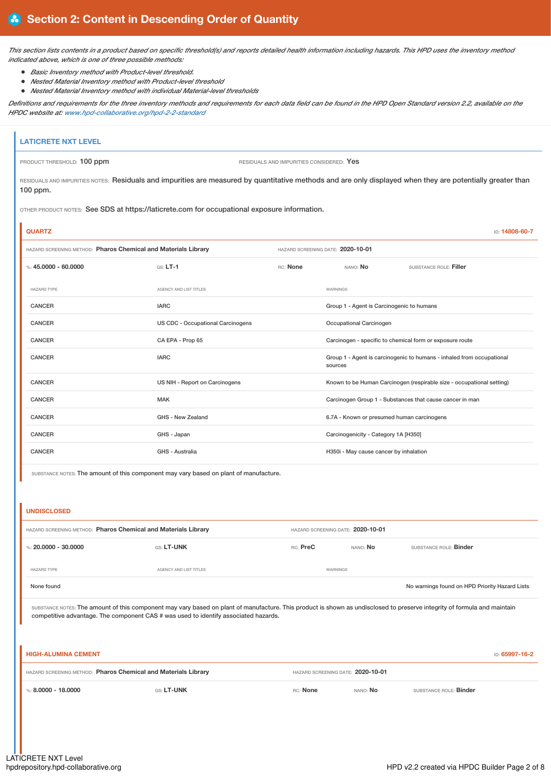This section lists contents in a product based on specific threshold(s) and reports detailed health information including hazards. This HPD uses the inventory method *indicated above, which is one of three possible methods:*

- *Basic Inventory method with Product-level threshold.*
- *Nested Material Inventory method with Product-level threshold*
- *Nested Material Inventory method with individual Material-level thresholds*

Definitions and requirements for the three inventory methods and requirements for each data field can be found in the HPD Open Standard version 2.2, available on the *HPDC website at: [www.hpd-collaborative.org/hpd-2-2-standard](https://www.hpd-collaborative.org/hpd-2-2-standard)*

# **LATICRETE NXT LEVEL** PRODUCT THRESHOLD: **100 ppm**  $\overline{P}$  **PRODUCT THRESHOLD:** 100 ppm

RESIDUALS AND IMPURITIES NOTES: Residuals and impurities are measured by quantitative methods and are only displayed when they are potentially greater than 100 ppm.

OTHER PRODUCT NOTES: See SDS at https://laticrete.com for occupational exposure information.

| <b>QUARTZ</b>                                                  |                                   |  |                                            | ID: 14808-60-7                                                        |  |
|----------------------------------------------------------------|-----------------------------------|--|--------------------------------------------|-----------------------------------------------------------------------|--|
| HAZARD SCREENING METHOD: Pharos Chemical and Materials Library |                                   |  | HAZARD SCREENING DATE: 2020-10-01          |                                                                       |  |
| %: 45,0000 - 60,0000                                           | $GS: LT-1$<br>RC: None            |  | NANO: No                                   | SUBSTANCE ROLE: Filler                                                |  |
| <b>HAZARD TYPE</b>                                             | AGENCY AND LIST TITLES            |  | WARNINGS                                   |                                                                       |  |
| <b>CANCER</b>                                                  | <b>IARC</b>                       |  | Group 1 - Agent is Carcinogenic to humans  |                                                                       |  |
| <b>CANCER</b>                                                  | US CDC - Occupational Carcinogens |  | Occupational Carcinogen                    |                                                                       |  |
| <b>CANCER</b>                                                  | CA EPA - Prop 65                  |  |                                            | Carcinogen - specific to chemical form or exposure route              |  |
| <b>CANCER</b>                                                  | <b>IARC</b>                       |  | sources                                    | Group 1 - Agent is carcinogenic to humans - inhaled from occupational |  |
| <b>CANCER</b>                                                  | US NIH - Report on Carcinogens    |  |                                            | Known to be Human Carcinogen (respirable size - occupational setting) |  |
| <b>CANCER</b>                                                  | <b>MAK</b>                        |  |                                            | Carcinogen Group 1 - Substances that cause cancer in man              |  |
| <b>CANCER</b>                                                  | GHS - New Zealand                 |  | 6.7A - Known or presumed human carcinogens |                                                                       |  |
| <b>CANCER</b>                                                  | GHS - Japan                       |  | Carcinogenicity - Category 1A [H350]       |                                                                       |  |
| <b>CANCER</b>                                                  | GHS - Australia                   |  | H350i - May cause cancer by inhalation     |                                                                       |  |

SUBSTANCE NOTES: The amount of this component may vary based on plant of manufacture.

#### **UNDISCLOSED**

| HAZARD SCREENING METHOD: Pharos Chemical and Materials Library |                        | HAZARD SCREENING DATE: 2020-10-01 |                 |                                                |
|----------------------------------------------------------------|------------------------|-----------------------------------|-----------------|------------------------------------------------|
| %: 20,0000 - 30,0000                                           | GS: LT-UNK             | RC: PreC                          | NANO: <b>No</b> | SUBSTANCE ROLE: <b>Binder</b>                  |
| <b>HAZARD TYPE</b>                                             | AGENCY AND LIST TITLES | WARNINGS                          |                 |                                                |
| None found                                                     |                        |                                   |                 | No warnings found on HPD Priority Hazard Lists |

SUBSTANCE NOTES: The amount of this component may vary based on plant of manufacture. This product is shown as undisclosed to preserve integrity of formula and maintain competitive advantage. The component CAS # was used to identify associated hazards.

| <b>HIGH-ALUMINA CEMENT</b>                                     |                   |                                   |                 |                               | ID: 65997-16-2 |
|----------------------------------------------------------------|-------------------|-----------------------------------|-----------------|-------------------------------|----------------|
| HAZARD SCREENING METHOD: Pharos Chemical and Materials Library |                   | HAZARD SCREENING DATE: 2020-10-01 |                 |                               |                |
| %: 8,0000 - 18,0000                                            | <b>GS: LT-UNK</b> | RC: None                          | NANO: <b>No</b> | SUBSTANCE ROLE: <b>Binder</b> |                |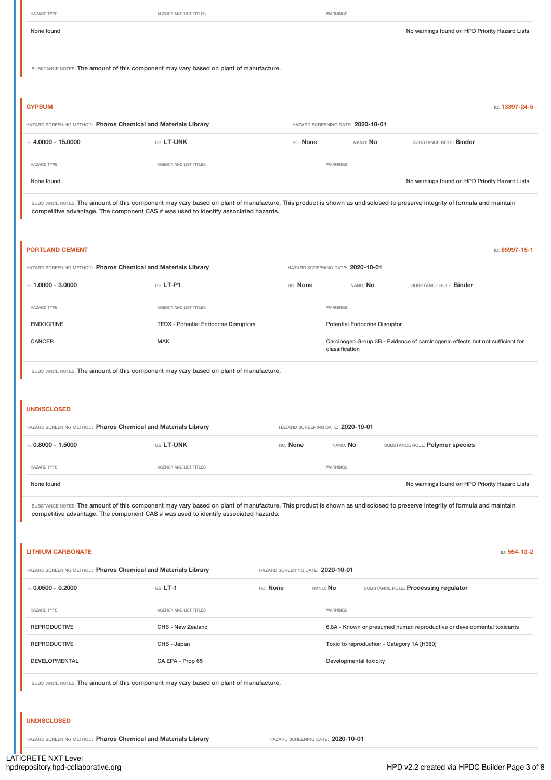None found on HPD Priority Hazard Lists SUBSTANCE NOTES: The amount of this component may vary based on plant of manufacture. **GYPSUM** ID: **13397-24-5** HAZARD SCREENING METHOD: **Pharos Chemical and Materials Library** HAZARD SCREENING DATE: **2020-10-01** %: **4.0000 - 15.0000** GS: **LT-UNK** RC: **None** NANO: **No** SUBSTANCE ROLE: **Binder** HAZARD TYPE **AGENCY AND LIST TITLES** AGENCY AND LIST TITLES None found on HPD Priority Hazard Lists SUBSTANCE NOTES: The amount of this component may vary based on plant of manufacture. This product is shown as undisclosed to preserve integrity of formula and maintain competitive advantage. The component CAS # was used to identify associated hazards. **PORTLAND CEMENT ID: 65997-15-1** HAZARD SCREENING METHOD: **Pharos Chemical and Materials Library** HAZARD SCREENING DATE: **2020-10-01** %: **1.0000 - 3.0000** GS: LT-P1 GS: LT-P1 RC: None NANO: No SUBSTANCE ROLE: Binder HAZARD TYPE **AGENCY AND LIST TITLES** AGENCY AND LIST TITLES ENDOCRINE TEDX - Potential Endocrine Disruptors Potential Endocrine Disruptor CANCER CANCER CANCER MAK MAK Carcinogen Group 3B - Evidence of carcinogenic effects but not sufficient for classification SUBSTANCE NOTES: The amount of this component may vary based on plant of manufacture. **UNDISCLOSED** HAZARD SCREENING METHOD: **Pharos Chemical and Materials Library** HAZARD SCREENING DATE: **2020-10-01** %: **0.8000 - 1.5000 CS: LT-UNK** GS: LT-UNK RC: None MANO: No SUBSTANCE ROLE: Polymer species HAZARD TYPE AGENCY AND LIST TITLES WARNINGS None found on HPD Priority Hazard Lists No warnings found on HPD Priority Hazard Lists SUBSTANCE NOTES: The amount of this component may vary based on plant of manufacture. This product is shown as undisclosed to preserve integrity of formula and maintain competitive advantage. The component CAS # was used to identify associated hazards. **LITHIUM CARBONATE** ID: **554-13-2** HAZARD SCREENING METHOD: **Pharos Chemical and Materials Library** HAZARD SCREENING DATE: **2020-10-01** %: **0.0500 - 0.2000** GS: **LT-1** RC: **None** NANO: **No** SUBSTANCE ROLE: **Processing regulator** HAZARD TYPE **AGENCY AND LIST TITLES** WARNINGS REPRODUCTIVE GHS - New Zealand GHS - New Zealand 6.8A - Known or presumed human reproductive or developmental toxicants REPRODUCTIVE GHS - Japan GHS - Japan Toxic to reproduction - Category 1A [H360] DEVELOPMENTAL CA EPA - Prop 65 Developmental toxicity SUBSTANCE NOTES: The amount of this component may vary based on plant of manufacture. **UNDISCLOSED** HAZARD SCREENING METHOD: **Pharos Chemical and Materials Library** HAZARD SCREENING DATE: **2020-10-01**

HAZARD TYPE AGENCY AND LIST TITLES WARNINGS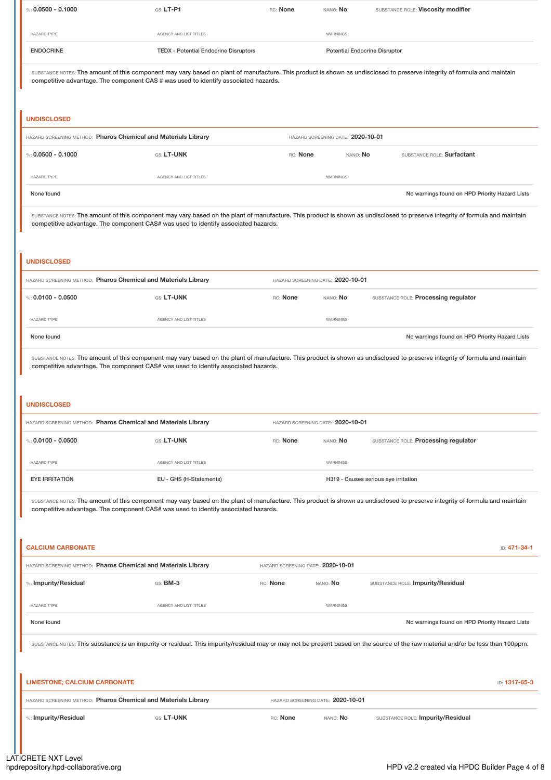| %: $0.0500 - 0.1000$                                                                                                                                                                                                                                                                                       | $G.S. LT-P1$                                                                       | RC: None                          | NANO: No                          | SUBSTANCE ROLE: Viscosity modifier                                                                                                                                           |
|------------------------------------------------------------------------------------------------------------------------------------------------------------------------------------------------------------------------------------------------------------------------------------------------------------|------------------------------------------------------------------------------------|-----------------------------------|-----------------------------------|------------------------------------------------------------------------------------------------------------------------------------------------------------------------------|
| <b>HAZARD TYPE</b>                                                                                                                                                                                                                                                                                         | AGENCY AND LIST TITLES                                                             |                                   | WARNINGS                          |                                                                                                                                                                              |
| <b>ENDOCRINE</b>                                                                                                                                                                                                                                                                                           | <b>TEDX - Potential Endocrine Disruptors</b>                                       |                                   |                                   | <b>Potential Endocrine Disruptor</b>                                                                                                                                         |
| SUBSTANCE NOTES: The amount of this component may vary based on plant of manufacture. This product is shown as undisclosed to preserve integrity of formula and maintain<br>competitive advantage. The component CAS # was used to identify associated hazards.                                            |                                                                                    |                                   |                                   |                                                                                                                                                                              |
| <b>UNDISCLOSED</b>                                                                                                                                                                                                                                                                                         |                                                                                    |                                   |                                   |                                                                                                                                                                              |
| HAZARD SCREENING METHOD: Pharos Chemical and Materials Library                                                                                                                                                                                                                                             |                                                                                    |                                   | HAZARD SCREENING DATE: 2020-10-01 |                                                                                                                                                                              |
| %: $0.0500 - 0.1000$                                                                                                                                                                                                                                                                                       | GS: LT-UNK                                                                         | RC: None                          | NANO: No                          | SUBSTANCE ROLE: Surfactant                                                                                                                                                   |
| <b>HAZARD TYPE</b>                                                                                                                                                                                                                                                                                         | AGENCY AND LIST TITLES                                                             |                                   | WARNINGS                          |                                                                                                                                                                              |
| None found                                                                                                                                                                                                                                                                                                 |                                                                                    |                                   |                                   | No warnings found on HPD Priority Hazard Lists                                                                                                                               |
| <b>UNDISCLOSED</b>                                                                                                                                                                                                                                                                                         | competitive advantage. The component CAS# was used to identify associated hazards. |                                   |                                   | SUBSTANCE NOTES: The amount of this component may vary based on the plant of manufacture. This product is shown as undisclosed to preserve integrity of formula and maintain |
| HAZARD SCREENING METHOD: Pharos Chemical and Materials Library                                                                                                                                                                                                                                             |                                                                                    |                                   | HAZARD SCREENING DATE: 2020-10-01 |                                                                                                                                                                              |
| %: $0.0100 - 0.0500$                                                                                                                                                                                                                                                                                       | GS: LT-UNK                                                                         | RC: None                          | NANO: No                          | SUBSTANCE ROLE: Processing regulator                                                                                                                                         |
| <b>HAZARD TYPE</b>                                                                                                                                                                                                                                                                                         | AGENCY AND LIST TITLES                                                             |                                   | WARNINGS                          |                                                                                                                                                                              |
| None found                                                                                                                                                                                                                                                                                                 |                                                                                    |                                   |                                   | No warnings found on HPD Priority Hazard Lists                                                                                                                               |
| <b>UNDISCLOSED</b><br>HAZARD SCREENING METHOD: Pharos Chemical and Materials Library                                                                                                                                                                                                                       |                                                                                    |                                   | HAZARD SCREENING DATE: 2020-10-01 |                                                                                                                                                                              |
| %: $0.0100 - 0.0500$                                                                                                                                                                                                                                                                                       | GS: LT-UNK                                                                         | RC: None                          | NANO: No                          | SUBSTANCE ROLE: Processing regulator                                                                                                                                         |
|                                                                                                                                                                                                                                                                                                            |                                                                                    |                                   |                                   |                                                                                                                                                                              |
| <b>HAZARD TYPE</b><br><b>EYE IRRITATION</b>                                                                                                                                                                                                                                                                | AGENCY AND LIST TITLES<br>EU - GHS (H-Statements)                                  |                                   | WARNINGS                          |                                                                                                                                                                              |
| H319 - Causes serious eye irritation<br>SUBSTANCE NOTES: The amount of this component may vary based on the plant of manufacture. This product is shown as undisclosed to preserve integrity of formula and maintain<br>competitive advantage. The component CAS# was used to identify associated hazards. |                                                                                    |                                   |                                   |                                                                                                                                                                              |
| <b>CALCIUM CARBONATE</b>                                                                                                                                                                                                                                                                                   |                                                                                    |                                   |                                   | ID: 471-34-1                                                                                                                                                                 |
| HAZARD SCREENING METHOD: Pharos Chemical and Materials Library                                                                                                                                                                                                                                             |                                                                                    | HAZARD SCREENING DATE: 2020-10-01 |                                   |                                                                                                                                                                              |
| %: Impurity/Residual                                                                                                                                                                                                                                                                                       | GS: <b>BM-3</b>                                                                    | RC: None                          | NANO: NO                          | SUBSTANCE ROLE: Impurity/Residual                                                                                                                                            |
| HAZARD TYPE                                                                                                                                                                                                                                                                                                | AGENCY AND LIST TITLES                                                             |                                   | WARNINGS                          |                                                                                                                                                                              |
| None found<br>No warnings found on HPD Priority Hazard Lists<br>SUBSTANCE NOTES: This substance is an impurity or residual. This impurity/residual may or may not be present based on the source of the raw material and/or be less than 100ppm.                                                           |                                                                                    |                                   |                                   |                                                                                                                                                                              |
| <b>LIMESTONE; CALCIUM CARBONATE</b>                                                                                                                                                                                                                                                                        |                                                                                    |                                   |                                   | ID: 1317-65-3                                                                                                                                                                |
| HAZARD SCREENING METHOD: Pharos Chemical and Materials Library                                                                                                                                                                                                                                             |                                                                                    |                                   | HAZARD SCREENING DATE: 2020-10-01 |                                                                                                                                                                              |
| %: Impurity/Residual                                                                                                                                                                                                                                                                                       | GS: LT-UNK                                                                         | RC: None                          | NANO: No                          | SUBSTANCE ROLE: Impurity/Residual                                                                                                                                            |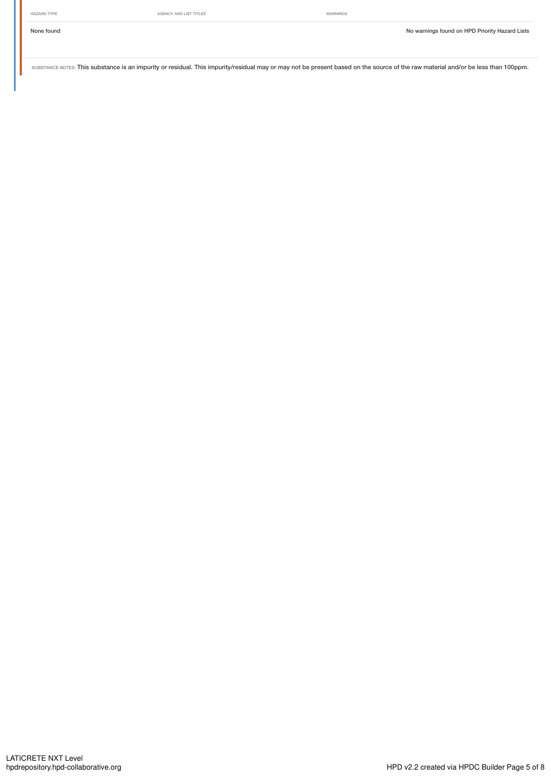SUBSTANCE NOTES: This substance is an impurity or residual. This impurity/residual may or may not be present based on the source of the raw material and/or be less than 100ppm.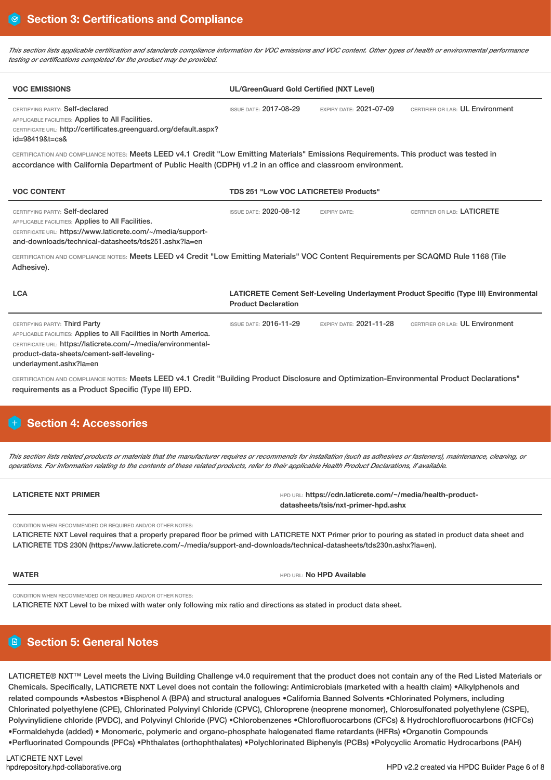This section lists applicable certification and standards compliance information for VOC emissions and VOC content. Other types of health or environmental performance *testing or certifications completed for the product may be provided.*

| <b>VOC EMISSIONS</b>                                                                                                                                                                                                                                 | <b>UL/GreenGuard Gold Certified (NXT Level)</b> |                                |                                                                                       |  |
|------------------------------------------------------------------------------------------------------------------------------------------------------------------------------------------------------------------------------------------------------|-------------------------------------------------|--------------------------------|---------------------------------------------------------------------------------------|--|
| CERTIFYING PARTY: Self-declared<br>APPLICABLE FACILITIES: Applies to All Facilities.<br>CERTIFICATE URL: http://certificates.greenguard.org/default.aspx?<br>$id = 984198t = cs8$                                                                    | <b>ISSUE DATE: 2017-08-29</b>                   | EXPIRY DATE: 2021-07-09        | CERTIFIER OR LAB: UL Environment                                                      |  |
| CERTIFICATION AND COMPLIANCE NOTES: Meets LEED v4.1 Credit "Low Emitting Materials" Emissions Requirements. This product was tested in<br>accordance with California Department of Public Health (CDPH) v1.2 in an office and classroom environment. |                                                 |                                |                                                                                       |  |
| <b>VOC CONTENT</b>                                                                                                                                                                                                                                   | TDS 251 "Low VOC LATICRETE® Products"           |                                |                                                                                       |  |
| CERTIFYING PARTY: Self-declared<br>APPLICABLE FACILITIES: Applies to All Facilities.<br>CERTIFICATE URL: https://www.laticrete.com/~/media/support-<br>and-downloads/technical-datasheets/tds251.ashx?la=en                                          | <b>ISSUE DATE: 2020-08-12</b>                   | <b>EXPIRY DATE:</b>            | CERTIFIER OR LAB: LATICRETE                                                           |  |
| CERTIFICATION AND COMPLIANCE NOTES: Meets LEED v4 Credit "Low Emitting Materials" VOC Content Requirements per SCAQMD Rule 1168 (Tile<br>Adhesive).                                                                                                  |                                                 |                                |                                                                                       |  |
| <b>LCA</b>                                                                                                                                                                                                                                           | <b>Product Declaration</b>                      |                                | LATICRETE Cement Self-Leveling Underlayment Product Specific (Type III) Environmental |  |
| CERTIFYING PARTY: Third Party<br>APPLICABLE FACILITIES: Applies to All Facilities in North America.<br>CERTIFICATE URL: https://laticrete.com/~/media/environmental-<br>product-data-sheets/cement-self-leveling-<br>underlayment.ashx?la=en         | <b>ISSUE DATE: 2016-11-29</b>                   | <b>EXPIRY DATE: 2021-11-28</b> | CERTIFIER OR LAB: UL Environment                                                      |  |
| CERTIFICATION AND COMPLIANCE NOTES: Meets LEED v4.1 Credit "Building Product Disclosure and Optimization-Environmental Product Declarations"<br>requirements as a Product Specific (Type III) EPD.                                                   |                                                 |                                |                                                                                       |  |
|                                                                                                                                                                                                                                                      |                                                 |                                |                                                                                       |  |

# **Section 4: Accessories**

This section lists related products or materials that the manufacturer requires or recommends for installation (such as adhesives or fasteners), maintenance, cleaning, or operations. For information relating to the contents of these related products, refer to their applicable Health Product Declarations, if available.

| <b>LATICRETE NXT PRIMER</b> | HPD URL: https://cdn.laticrete.com/~/media/health-product- |
|-----------------------------|------------------------------------------------------------|
|                             | datasheets/tsis/nxt-primer-hpd.ashx                        |

CONDITION WHEN RECOMMENDED OR REQUIRED AND/OR OTHER NOTES:

LATICRETE NXT Level requires that a properly prepared floor be primed with LATICRETE NXT Primer prior to pouring as stated in product data sheet and LATICRETE TDS 230N (https://www.laticrete.com/~/media/support-and-downloads/technical-datasheets/tds230n.ashx?la=en).

**WATER WATER WATER WATER HPD AVAILABLE** 

CONDITION WHEN RECOMMENDED OR REQUIRED AND/OR OTHER NOTES:

LATICRETE NXT Level to be mixed with water only following mix ratio and directions as stated in product data sheet.

# **Section 5: General Notes**

LATICRETE® NXT™ Level meets the Living Building Challenge v4.0 requirement that the product does not contain any of the Red Listed Materials or Chemicals. Specifically, LATICRETE NXT Level does not contain the following: Antimicrobials (marketed with a health claim) •Alkylphenols and related compounds •Asbestos •Bisphenol A (BPA) and structural analogues •California Banned Solvents •Chlorinated Polymers, including Chlorinated polyethylene (CPE), Chlorinated Polyvinyl Chloride (CPVC), Chloroprene (neoprene monomer), Chlorosulfonated polyethylene (CSPE), Polyvinylidiene chloride (PVDC), and Polyvinyl Chloride (PVC) •Chlorobenzenes •Chlorofluorocarbons (CFCs) & Hydrochlorofluorocarbons (HCFCs) •Formaldehyde (added) • Monomeric, polymeric and organo-phosphate halogenated flame retardants (HFRs) •Organotin Compounds •Perfluorinated Compounds (PFCs) •Phthalates (orthophthalates) •Polychlorinated Biphenyls (PCBs) •Polycyclic Aromatic Hydrocarbons (PAH)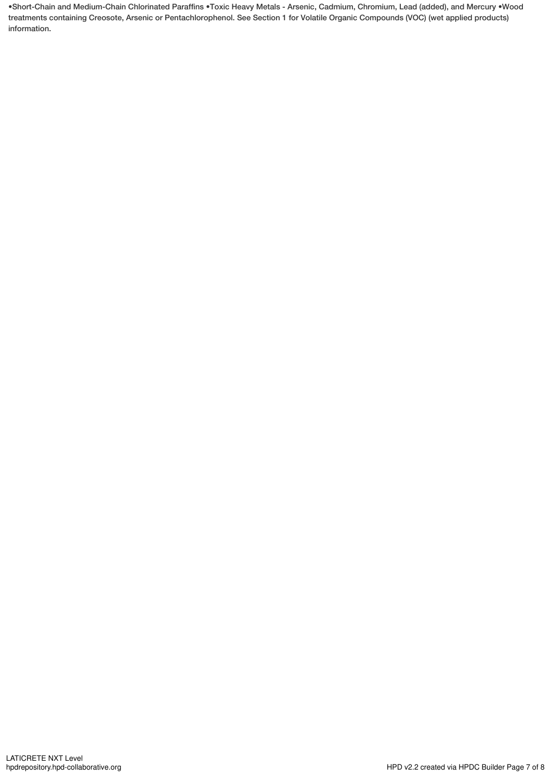•Short-Chain and Medium-Chain Chlorinated Paraffins •Toxic Heavy Metals - Arsenic, Cadmium, Chromium, Lead (added), and Mercury •Wood treatments containing Creosote, Arsenic or Pentachlorophenol. See Section 1 for Volatile Organic Compounds (VOC) (wet applied products) information.